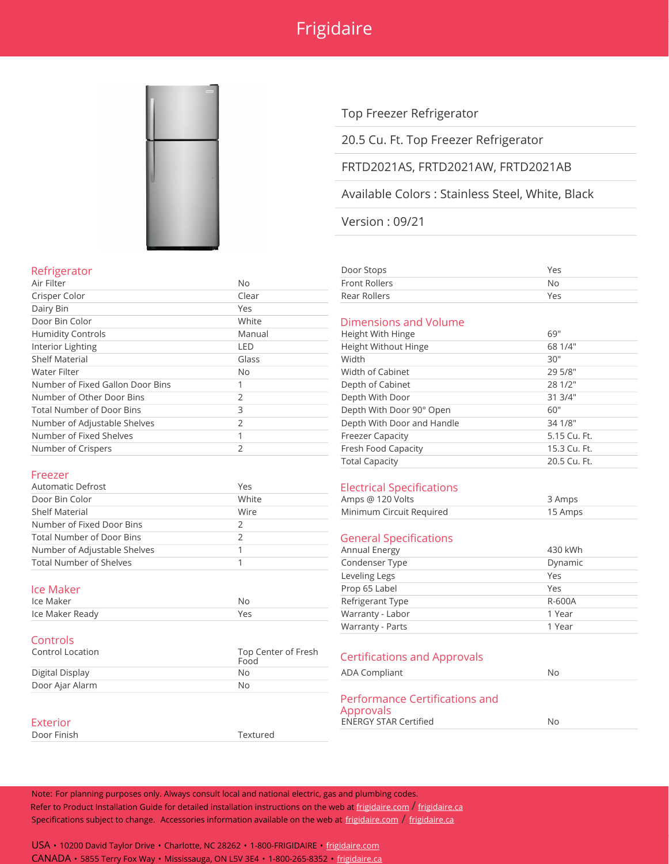# Frigidaire



## Top Freezer Refrigerator

## 20.5 Cu. Ft. Top Freezer Refrigerator

## FRTD2021AS, FRTD2021AW, FRTD2021AB

Available Colors : Stainless Steel, White, Black

Version : 09/21

| Refrigerator | Door Stops<br>____ | Vac<br>$\sim$ |
|--------------|--------------------|---------------|
|              |                    |               |

| <b>No</b>                             |
|---------------------------------------|
| Yes                                   |
|                                       |
| Dimensions and Volume                 |
| 69"                                   |
| 68 1/4"                               |
| 30"                                   |
| 29 5/8"                               |
| 28 1/2"                               |
| 31 3/4"                               |
| Depth With Door 90° Open<br>60"       |
| Depth With Door and Handle<br>34 1/8" |
| 5.15 Cu. Ft.                          |
| 15.3 Cu. Ft.                          |
|                                       |

## Dimensions and Volume

| Height With Hinge          | 69"          |
|----------------------------|--------------|
| Height Without Hinge       | 68 1/4"      |
| Width                      | 30"          |
| Width of Cabinet           | 29 5/8"      |
| Depth of Cabinet           | 28 1/2"      |
| Depth With Door            | 31 3/4"      |
| Depth With Door 90° Open   | 60"          |
| Depth With Door and Handle | 34 1/8"      |
| <b>Freezer Capacity</b>    | 5.15 Cu. Ft. |
| Fresh Food Capacity        | 15.3 Cu. Ft. |
| <b>Total Capacity</b>      | 20.5 Cu. Ft. |
|                            |              |

### Freezer

| <b>Automatic Defrost</b>       | Yes   | <b>Electrical Specifications</b> |         |
|--------------------------------|-------|----------------------------------|---------|
| Door Bin Color                 | White | Amps @ 120 Volts                 | 3 Amps  |
| <b>Shelf Material</b>          | Wire  | Minimum Circuit Required         | 15 Amps |
| Number of Fixed Door Bins      |       |                                  |         |
| Total Number of Door Bins      |       | <b>General Specifications</b>    |         |
| Number of Adjustable Shelves   |       | Annual Energy                    | 430 kWh |
| <b>Total Number of Shelves</b> |       | Condenser Type                   | Dynamio |
|                                |       |                                  |         |

| lce Maker       | ΝC     | l vne   |  |
|-----------------|--------|---------|--|
|                 | $\sim$ | $\cdot$ |  |
| Ice Maker Ready | $ -$   | ahor    |  |

### Controls

| Control Location | Top Center of Fresh<br>Food | <b>Certifications and Approvals</b> |    |
|------------------|-----------------------------|-------------------------------------|----|
| Digital Display  | Nο                          | ADA Compliant                       | Nο |
| Door Ajar Alarm  | Nο                          |                                     |    |
|                  |                             | Performance Certifications and      |    |

Door Finish Textured

## **Electrical Specifications**

| Amps $@120$ Volts        | 3 Amps  |
|--------------------------|---------|
| Minimum Circuit Required | 15 Amps |

### **General Specifications**

| Number of Adjustable Shelves |     | Annual Energy    | 430 kWh |
|------------------------------|-----|------------------|---------|
| Total Number of Shelves      |     | Condenser Type   | Dynamic |
|                              |     | Leveling Legs    | Yes     |
| lce Maker                    |     | Prop 65 Label    | Yes     |
| Ice Maker                    | No  | Refrigerant Type | R-600A  |
| Ice Maker Ready              | Yes | Warranty - Labor | 1 Year  |
|                              |     | Warranty - Parts | 1 Year  |
|                              |     |                  |         |

### **Certifications and Approvals**

| Digital Display | No       | ADA Compliant                                                               | No |  |
|-----------------|----------|-----------------------------------------------------------------------------|----|--|
| Door Ajar Alarm | No       |                                                                             |    |  |
| <b>Exterior</b> |          | Performance Certifications and<br>Approvals<br><b>ENERGY STAR Certified</b> | No |  |
| Door Finich     | Toyturad |                                                                             |    |  |

Note: For planning purposes only. Always consult local and national electric, gas and plumbing codes. Refer to Product Installation Guide for detailed installation instructions on the web at [frigidaire.com](http://frigidaire.com/) / [frigidaire.ca](http://frigidaire.ca/) Specifications subject to change. Accessories information available on the web at [frigidaire.com](http://frigidaire.com/) / [frigidaire.ca](http://frigidaire.ca/)

USA • 10200 David Taylor Drive • Charlotte, NC 28262 • 1-800-FRIGIDAIRE • [frigidaire.com](http://frigidaire.com/) CANADA • 5855 Terry Fox Way • Mississauga, ON L5V 3E4 • 1-800-265-8352 • [frigidaire.ca](http://frigidaire.ca/)